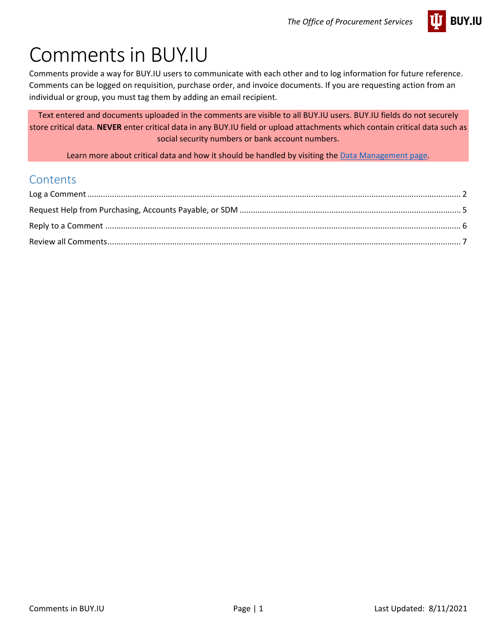

# Comments in BUY.IU

Comments provide a way for BUY.IU users to communicate with each other and to log information for future reference. Comments can be logged on requisition, purchase order, and invoice documents. If you are requesting action from an individual or group, you must tag them by adding an email recipient.

Text entered and documents uploaded in the comments are visible to all BUY.IU users. BUY.IU fields do not securely store critical data. **NEVER** enter critical data in any BUY.IU field or upload attachments which contain critical data such as social security numbers or bank account numbers.

Learn more about critical data and how it should be handled by visiting the [Data Management page.](https://datamanagement.iu.edu/types-of-data/classifications.php)

#### **Contents**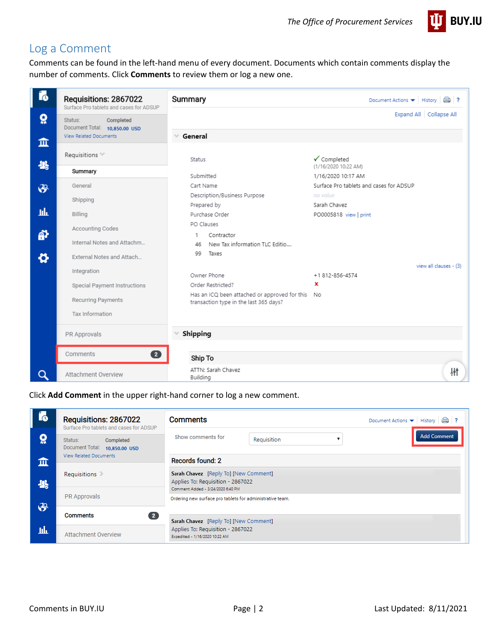

## <span id="page-1-0"></span>Log a Comment

Comments can be found in the left-hand menu of every document. Documents which contain comments display the number of comments. Click **Comments** to review them or log a new one.

| í6             | Requisitions: 2867022<br>Surface Pro tablets and cases for ADSUP | Summary                                                                                    | Document Actions $\blacktriangledown$ History $\Box$ ? |
|----------------|------------------------------------------------------------------|--------------------------------------------------------------------------------------------|--------------------------------------------------------|
| õ              | Status:<br>Completed<br>Document Total: 10,850.00 USD            |                                                                                            | Expand All   Collapse All                              |
| 血              | <b>View Related Documents</b>                                    | General<br>$\gamma_{\rm eff}$                                                              |                                                        |
| 米              | Requisitions **                                                  | Status                                                                                     | ✔ Completed                                            |
|                | Summary                                                          | Submitted                                                                                  | (1/16/2020 10:22 AM)<br>1/16/2020 10:17 AM             |
|                | General                                                          | Cart Name                                                                                  | Surface Pro tablets and cases for ADSUP                |
| $\mathfrak{F}$ |                                                                  | Description/Business Purpose                                                               | no value                                               |
|                | Shipping                                                         | Prepared by                                                                                | Sarah Chavez                                           |
| щF             | Billing                                                          | Purchase Order                                                                             | PO0005818 view   print                                 |
|                | Accounting Codes                                                 | PO Clauses                                                                                 |                                                        |
| ä              | Internal Notes and Attachm                                       | Contractor<br>1<br>New Tax information TLC Editio<br>46                                    |                                                        |
| ⇔              | External Notes and Attach                                        | 99<br>Taxes                                                                                |                                                        |
|                | Integration                                                      |                                                                                            | view all clauses - (3)                                 |
|                |                                                                  | Owner Phone                                                                                | +1812-856-4574                                         |
|                | Special Payment Instructions                                     | Order Restricted?                                                                          | ×                                                      |
|                | Recurring Payments                                               | Has an ICQ been attached or approved for this No<br>transaction type in the last 365 days? |                                                        |
|                | Tax Information                                                  |                                                                                            |                                                        |
|                | PR Approvals                                                     | Shipping                                                                                   |                                                        |
|                | 2<br>Comments                                                    | Ship To                                                                                    |                                                        |
| Q              | Attachment Overview                                              | ATTN: Sarah Chavez<br>Building                                                             | 耕                                                      |

<span id="page-1-1"></span>Click **Add Comment** in the upper right-hand corner to log a new comment.

| Í6            | Requisitions: 2867022<br>Surface Pro tablets and cases for ADSUP | <b>Comments</b>                                                                                                 |                                                           |  |                    |
|---------------|------------------------------------------------------------------|-----------------------------------------------------------------------------------------------------------------|-----------------------------------------------------------|--|--------------------|
| õ             | Status:<br>Completed<br>Document Total:<br>10,850.00 USD         | Show comments for<br>Requisition                                                                                |                                                           |  | <b>Add Comment</b> |
| 血             | <b>View Related Documents</b>                                    | <b>Records found: 2</b>                                                                                         |                                                           |  |                    |
| 뾿             | Requisitions                                                     | Sarah Chavez [Reply To] [New Comment]<br>Applies To: Requisition - 2867022<br>Comment Added - 3/24/2020 6:40 PM |                                                           |  |                    |
|               | <b>PR Approvals</b>                                              |                                                                                                                 | Ordering new surface pro tablets for administrative team. |  |                    |
| $\mathcal{S}$ | $\sqrt{2}$<br><b>Comments</b>                                    | Sarah Chavez [Reply To] [New Comment]                                                                           |                                                           |  |                    |
| hh            | <b>Attachment Overview</b>                                       | Applies To: Requisition - 2867022<br>Expedited - 1/16/2020 10:22 AM                                             |                                                           |  |                    |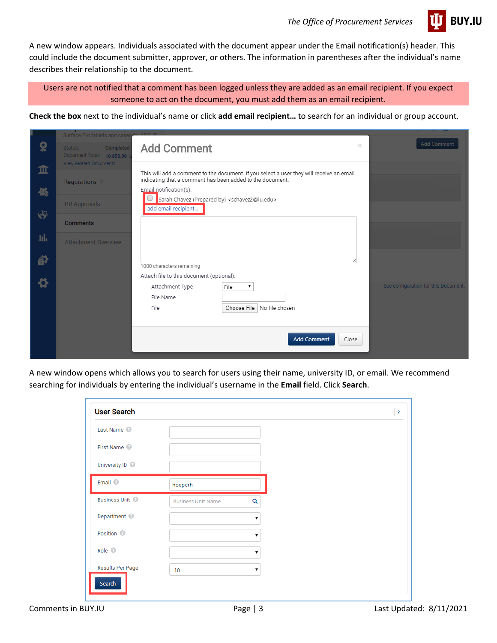

A new window appears. Individuals associated with the document appear under the Email notification(s) header. This could include the document submitter, approver, or others. The information in parentheses after the individual's name describes their relationship to the document.

Users are not notified that a comment has been logged unless they are added as an email recipient. If you expect someone to act on the document, you must add them as an email recipient.

**Check the box** next to the individual's name or click **add email recipient…** to search for an individual or group account.

|                       | Surface Pro tablets and cases for AD                                        |                                                                                                                                                                                 |                                      |
|-----------------------|-----------------------------------------------------------------------------|---------------------------------------------------------------------------------------------------------------------------------------------------------------------------------|--------------------------------------|
| 유                     | Completed<br>Status:<br>Document Total: 10,850.00<br>View Related Documents | $\times$<br><b>Add Comment</b>                                                                                                                                                  | <b>Add Comment</b>                   |
| 血                     | Requisitions                                                                | This will add a comment to the document. If you select a user they will receive an email<br>indicating that a comment has been added to the document.<br>Email notification(s): |                                      |
| 卷<br>$\ddot{\bullet}$ | PR Approvals                                                                | Sarah Chavez (Prepared by) <schavez2@iu.edu><br/>add email recipient</schavez2@iu.edu>                                                                                          |                                      |
|                       | <b>Comments</b>                                                             |                                                                                                                                                                                 |                                      |
| 址                     | <b>Attachment Overview</b>                                                  |                                                                                                                                                                                 |                                      |
| ð                     |                                                                             | 1000 characters remaining                                                                                                                                                       |                                      |
| 츣                     |                                                                             | Attach file to this document (optional):                                                                                                                                        |                                      |
|                       |                                                                             | Attachment Type<br>File<br>۷.                                                                                                                                                   | See configuration for this Document. |
|                       |                                                                             | File Name                                                                                                                                                                       |                                      |
|                       |                                                                             | Choose File   No file chosen<br>File                                                                                                                                            |                                      |
|                       |                                                                             |                                                                                                                                                                                 |                                      |
|                       |                                                                             | <b>Add Comment</b><br>Close                                                                                                                                                     |                                      |
|                       |                                                                             |                                                                                                                                                                                 |                                      |

A new window opens which allows you to search for users using their name, university ID, or email. We recommend searching for individuals by entering the individual's username in the **Email** field. Click **Search**.

| Last Name <sup>O</sup>  |                           |    |  |
|-------------------------|---------------------------|----|--|
| First Name <sup>O</sup> |                           |    |  |
| University ID @         |                           |    |  |
| Email <sup>O</sup>      | hooperh                   |    |  |
| Business Unit           | <b>Business Unit Name</b> | Q  |  |
| Department <sup>@</sup> |                           | ۷. |  |
| Position <sup>@</sup>   |                           |    |  |
| Role <sup>O</sup>       |                           | ۷. |  |
|                         |                           | ۷. |  |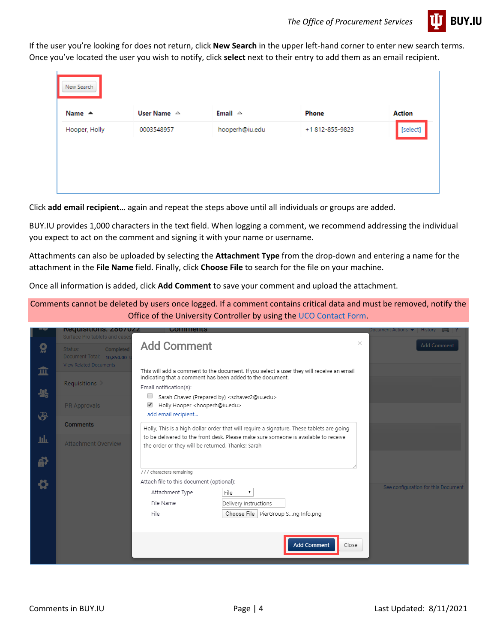

If the user you're looking for does not return, click **New Search** in the upper left-hand corner to enter new search terms. Once you've located the user you wish to notify, click **select** next to their entry to add them as an email recipient.

| New Search       |                       |                   |                |               |
|------------------|-----------------------|-------------------|----------------|---------------|
| Name $\triangle$ | User Name $\triangle$ | Email $\triangle$ | Phone          | <b>Action</b> |
| Hooper, Holly    | 0003548957            | hooperh@iu.edu    | +1812-855-9823 |               |

Click **add email recipient…** again and repeat the steps above until all individuals or groups are added.

BUY.IU provides 1,000 characters in the text field. When logging a comment, we recommend addressing the individual you expect to act on the comment and signing it with your name or username.

Attachments can also be uploaded by selecting the **Attachment Type** from the drop-down and entering a name for the attachment in the **File Name** field. Finally, click **Choose File** to search for the file on your machine.

Once all information is added, click **Add Comment** to save your comment and upload the attachment.

Comments cannot be deleted by users once logged. If a comment contains critical data and must be removed, notify the Office of the University Controller by using the [UCO Contact Form.](https://controller.iu.edu/contact)

|                  | <b>Requisitions: Z80/UZZ</b><br><b>Surface Pro tablets and case</b> | <b>COMMENTS</b>                                                                                                                                       | Document Actions $\blacktriangledown$<br>$History$ $\Box$ ? |
|------------------|---------------------------------------------------------------------|-------------------------------------------------------------------------------------------------------------------------------------------------------|-------------------------------------------------------------|
| Ω                | Completed<br>Status:<br>Document Total: 10,850.00                   | <b>Add Comment</b>                                                                                                                                    | $\times$<br><b>Add Comment</b>                              |
| 血                | View Related Documents                                              | This will add a comment to the document. If you select a user they will receive an email<br>indicating that a comment has been added to the document. |                                                             |
| 卷                | Requisitions                                                        | Email notification(s):<br>Sarah Chavez (Prepared by) <schavez2@iu.edu></schavez2@iu.edu>                                                              |                                                             |
| $\ddot{\bullet}$ | <b>PR Approvals</b>                                                 | Holly Hooper <hooperh@iu.edu><br/>✔<br/>add email recipient</hooperh@iu.edu>                                                                          |                                                             |
|                  | <b>Comments</b>                                                     | Holly, This is a high dollar order that will require a signature. These tablets are going                                                             |                                                             |
| щF               | <b>Attachment Overview</b>                                          | to be delivered to the front desk. Please make sure someone is available to receive<br>the order or they will be returned. Thanks! Sarah              |                                                             |
| <u>ат</u>        |                                                                     |                                                                                                                                                       |                                                             |
|                  |                                                                     | 777 characters remaining                                                                                                                              |                                                             |
| ö                |                                                                     | Attach file to this document (optional):                                                                                                              |                                                             |
|                  |                                                                     | Attachment Type<br>File<br>7                                                                                                                          | See configuration for this Document.                        |
|                  |                                                                     | File Name<br>Delivery Instructions                                                                                                                    |                                                             |
|                  |                                                                     | Choose File   PierGroup Sng Info.png<br>File                                                                                                          |                                                             |
|                  |                                                                     |                                                                                                                                                       |                                                             |
|                  |                                                                     |                                                                                                                                                       |                                                             |
|                  |                                                                     | <b>Add Comment</b><br>Close                                                                                                                           |                                                             |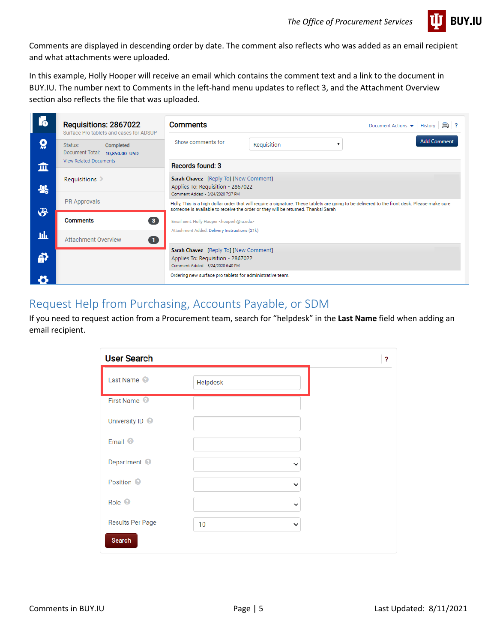

Comments are displayed in descending order by date. The comment also reflects who was added as an email recipient and what attachments were uploaded.

In this example, Holly Hooper will receive an email which contains the comment text and a link to the document in BUY.IU. The number next to Comments in the left-hand menu updates to reflect 3, and the Attachment Overview section also reflects the file that was uploaded.

| í.             | Requisitions: 2867022<br>Surface Pro tablets and cases for ADSUP | <b>Comments</b><br>Document Actions $\blacktriangledown$ History $\lvert \bigcirc \rvert$ ?                                                                                                                                        |  |  |
|----------------|------------------------------------------------------------------|------------------------------------------------------------------------------------------------------------------------------------------------------------------------------------------------------------------------------------|--|--|
| ö              | Completed<br>Status:<br>Document Total: 10,850.00 USD            | <b>Add Comment</b><br>Show comments for<br>Requisition<br>$\overline{\mathbf{v}}$                                                                                                                                                  |  |  |
| 皿              | <b>View Related Documents</b>                                    | Records found: 3                                                                                                                                                                                                                   |  |  |
| 米              | Requisitions                                                     | Sarah Chavez [Reply To] [New Comment]<br>Applies To: Requisition - 2867022<br>Comment Added - 3/24/2020 7:37 PM                                                                                                                    |  |  |
|                | <b>PR Approvals</b>                                              | Holly, This is a high dollar order that will require a signature. These tablets are going to be delivered to the front desk. Please make sure<br>someone is available to receive the order or they will be returned. Thanks! Sarah |  |  |
| $\mathfrak{S}$ | $\overline{\mathbf{3}}$<br><b>Comments</b>                       | Email sent: Holly Hooper <hooperh@iu.edu></hooperh@iu.edu>                                                                                                                                                                         |  |  |
| hh             | $\bullet$<br><b>Attachment Overview</b>                          | Attachment Added: Delivery Instructions (21k)                                                                                                                                                                                      |  |  |
| ቇ              |                                                                  | Sarah Chavez [Reply To] [New Comment]<br>Applies To: Requisition - 2867022<br>Comment Added - 3/24/2020 6:40 PM                                                                                                                    |  |  |
| 8              |                                                                  | Ordering new surface pro tablets for administrative team.                                                                                                                                                                          |  |  |

## <span id="page-4-0"></span>Request Help from Purchasing, Accounts Payable, or SDM

If you need to request action from a Procurement team, search for "helpdesk" in the **Last Name** field when adding an email recipient.

| <b>User Search</b>         |                    | ? |
|----------------------------|--------------------|---|
| Last Name <sup>@</sup>     | Helpdesk           |   |
| First Name <sup>@</sup>    |                    |   |
| University ID <sup>@</sup> |                    |   |
| Email <sup>©</sup>         |                    |   |
| Department <sup>O</sup>    | $\checkmark$       |   |
| Position <sup>O</sup>      | $\checkmark$       |   |
| Role <sup>©</sup>          | $\checkmark$       |   |
| Results Per Page           | 10<br>$\checkmark$ |   |
| Search                     |                    |   |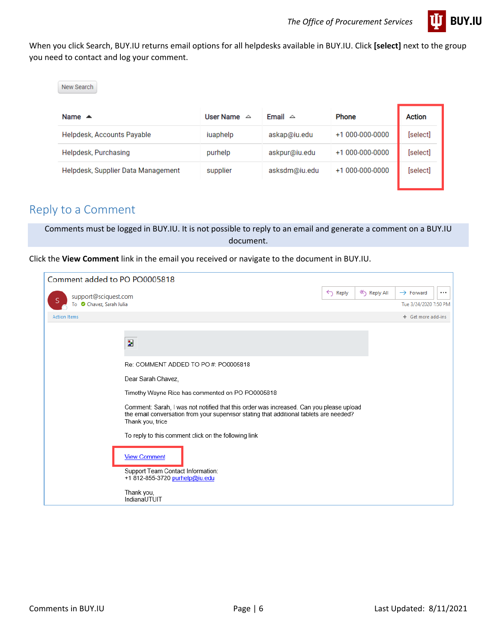

When you click Search, BUY.IU returns email options for all helpdesks available in BUY.IU. Click **[select]** next to the group you need to contact and log your comment.

| New Search                         |                       |                   |                  |          |
|------------------------------------|-----------------------|-------------------|------------------|----------|
| Name $\triangle$                   | <b>User Name</b><br>△ | Email $\triangle$ | <b>Phone</b>     | Action   |
| Helpdesk, Accounts Payable         | iuaphelp              | askap@iu.edu      | $+1000-000-0000$ | [select] |
| Helpdesk, Purchasing               | purhelp               | askpur@iu.edu     | $+1000-000-0000$ | [select] |
| Helpdesk, Supplier Data Management | supplier              | asksdm@iu.edu     | +1 000-000-0000  | [select] |

### <span id="page-5-0"></span>Reply to a Comment

Comments must be logged in BUY.IU. It is not possible to reply to an email and generate a comment on a BUY.IU document.

Click the **View Comment** link in the email you received or navigate to the document in BUY.IU.

| Comment added to PO PO0005818                    |                                                                                                                                                                                                        |                    |             |                                                    |
|--------------------------------------------------|--------------------------------------------------------------------------------------------------------------------------------------------------------------------------------------------------------|--------------------|-------------|----------------------------------------------------|
| support@sciquest.com<br>To Chavez, Sarah Julia   |                                                                                                                                                                                                        | $\leftarrow$ Reply | K Reply All | $\rightarrow$ Forward<br><br>Tue 3/24/2020 7:50 PM |
| <b>Action Items</b>                              |                                                                                                                                                                                                        |                    |             | + Get more add-ins                                 |
|                                                  | Z                                                                                                                                                                                                      |                    |             |                                                    |
|                                                  | Re: COMMENT ADDED TO PO#: PO0005818                                                                                                                                                                    |                    |             |                                                    |
| Dear Sarah Chavez,                               |                                                                                                                                                                                                        |                    |             |                                                    |
| Timothy Wayne Rice has commented on PO PO0005818 |                                                                                                                                                                                                        |                    |             |                                                    |
|                                                  | Comment: Sarah, I was not notified that this order was increased. Can you please upload<br>the email conversation from your supervisor stating that additional tablets are needed?<br>Thank you, trice |                    |             |                                                    |
|                                                  | To reply to this comment click on the following link                                                                                                                                                   |                    |             |                                                    |
|                                                  | <b>View Comment</b><br>Support Team Contact Information:                                                                                                                                               |                    |             |                                                    |
|                                                  | +1 812-855-3720 purhelp@iu.edu<br>Thank you,<br>IndianaUTUIT                                                                                                                                           |                    |             |                                                    |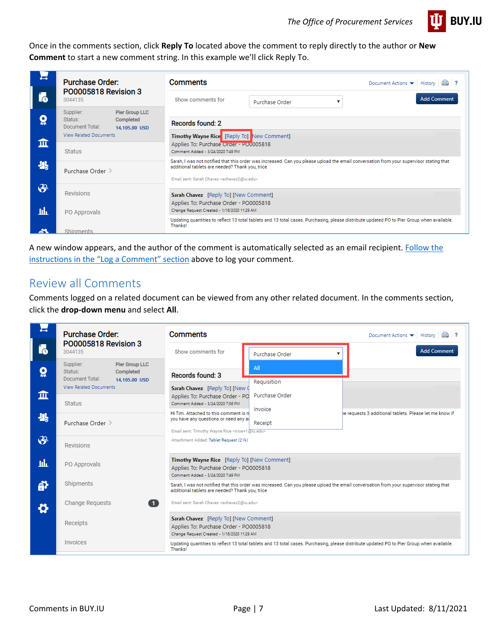

Once in the comments section, click **Reply To** located above the comment to reply directly to the author or **New Comment** to start a new comment string. In this example we'll click Reply To.

|           | <b>Purchase Order:</b>                                                                                                          | <b>Comments</b><br>Document Actions $\blacktriangledown$ History $\lvert \bigcirc \rvert$ ?                                                                                                                                                                |
|-----------|---------------------------------------------------------------------------------------------------------------------------------|------------------------------------------------------------------------------------------------------------------------------------------------------------------------------------------------------------------------------------------------------------|
| $\bullet$ | PO0005818 Revision 3<br>3044135                                                                                                 | <b>Add Comment</b><br>Show comments for<br>Purchase Order                                                                                                                                                                                                  |
| ö         | <b>Pier Group LLC</b><br>Supplier:<br>Status:<br>Completed<br>Document Total:<br>14.105.00 USD<br><b>View Related Documents</b> | <b>Records found: 2</b><br>Timothy Wayne Rice [Reply To] New Comment]                                                                                                                                                                                      |
| 血         | <b>Status</b>                                                                                                                   | Applies To: Purchase Order - PO0005818<br>Comment Added - 3/24/2020 7:49 PM                                                                                                                                                                                |
| 卷         | Purchase Order                                                                                                                  | Sarah, I was not notified that this order was increased. Can you please upload the email conversation from your supervisor stating that<br>additional tablets are needed? Thank you, trice<br>Email sent: Sarah Chavez <schavez2@iu.edu></schavez2@iu.edu> |
| டு        | <b>Revisions</b>                                                                                                                | Sarah Chavez [Reply To] [New Comment]                                                                                                                                                                                                                      |
| шh        | PO Approvals                                                                                                                    | Applies To: Purchase Order - PO0005818<br>Change Request Created - 1/16/2020 11:29 AM                                                                                                                                                                      |
| చి        | Shipments                                                                                                                       | Updating quantities to reflect 13 total tablets and 13 total cases. Purchasing, please distribute updated PO to Pier Group when available.<br>Thanks!                                                                                                      |

A new window appears, and the author of the comment is automatically selected as an email recipient. [Follow the](#page-1-1)  [instructions in the "Log a Comment" section](#page-1-1) above to log your comment.

#### <span id="page-6-0"></span>Review all Comments

Comments logged on a related document can be viewed from any other related document. In the comments section, click the **drop-down menu** and select **All**.

|                | <b>Purchase Order:</b>                                     | <b>Comments</b>                                                                                          |                                                                                                                                                                                            | Document Actions $\blacktriangleright$ History<br>$\Box$ ?                                                                                 |  |
|----------------|------------------------------------------------------------|----------------------------------------------------------------------------------------------------------|--------------------------------------------------------------------------------------------------------------------------------------------------------------------------------------------|--------------------------------------------------------------------------------------------------------------------------------------------|--|
| í6             | PO0005818 Revision 3<br>3044135                            | Show comments for                                                                                        | Purchase Order                                                                                                                                                                             | <b>Add Comment</b>                                                                                                                         |  |
| ö              | <b>Pier Group LLC</b><br>Supplier:<br>Status:<br>Completed | All                                                                                                      |                                                                                                                                                                                            |                                                                                                                                            |  |
|                | Document Total:<br>14.105.00 USD                           | Records found: 3                                                                                         | Requisition                                                                                                                                                                                |                                                                                                                                            |  |
|                | <b>View Related Documents</b>                              | Sarah Chavez [Reply To] [New 0                                                                           |                                                                                                                                                                                            |                                                                                                                                            |  |
| 而              | <b>Status</b>                                              | Applies To: Purchase Order - PO<br>Comment Added - 3/24/2020 7:56 PM                                     | Purchase Order                                                                                                                                                                             |                                                                                                                                            |  |
| 卷              |                                                            | Hi Tim. Attached to this comment is n                                                                    | Invoice                                                                                                                                                                                    | he requests 3 additional tablets. Please let me know if                                                                                    |  |
|                | Purchase Order                                             | you have any questions or need any a<br>Email sent: Timothy Wayne Rice <trice+1@iu.edu></trice+1@iu.edu> | Receipt                                                                                                                                                                                    |                                                                                                                                            |  |
| $\mathfrak{S}$ | <b>Revisions</b>                                           | Attachment Added: Tablet Request (21k)                                                                   |                                                                                                                                                                                            |                                                                                                                                            |  |
| Шı             | PO Approvals                                               | Comment Added - 3/24/2020 7:49 PM                                                                        | Timothy Wayne Rice [Reply To] [New Comment]<br>Applies To: Purchase Order - PO0005818                                                                                                      |                                                                                                                                            |  |
| ð              | Shipments                                                  |                                                                                                          | Sarah, I was not notified that this order was increased. Can you please upload the email conversation from your supervisor stating that<br>additional tablets are needed? Thank you, trice |                                                                                                                                            |  |
| Ö              | <b>Change Requests</b>                                     | Email sent: Sarah Chavez <schavez2@iu.edu><br/>O</schavez2@iu.edu>                                       |                                                                                                                                                                                            |                                                                                                                                            |  |
|                | Receipts                                                   | Change Request Created - 1/16/2020 11:29 AM                                                              | Sarah Chavez [Reply To] [New Comment]<br>Applies To: Purchase Order - PO0005818                                                                                                            |                                                                                                                                            |  |
|                | Invoices                                                   | Thanks!                                                                                                  |                                                                                                                                                                                            | Updating quantities to reflect 13 total tablets and 13 total cases. Purchasing, please distribute updated PO to Pier Group when available. |  |